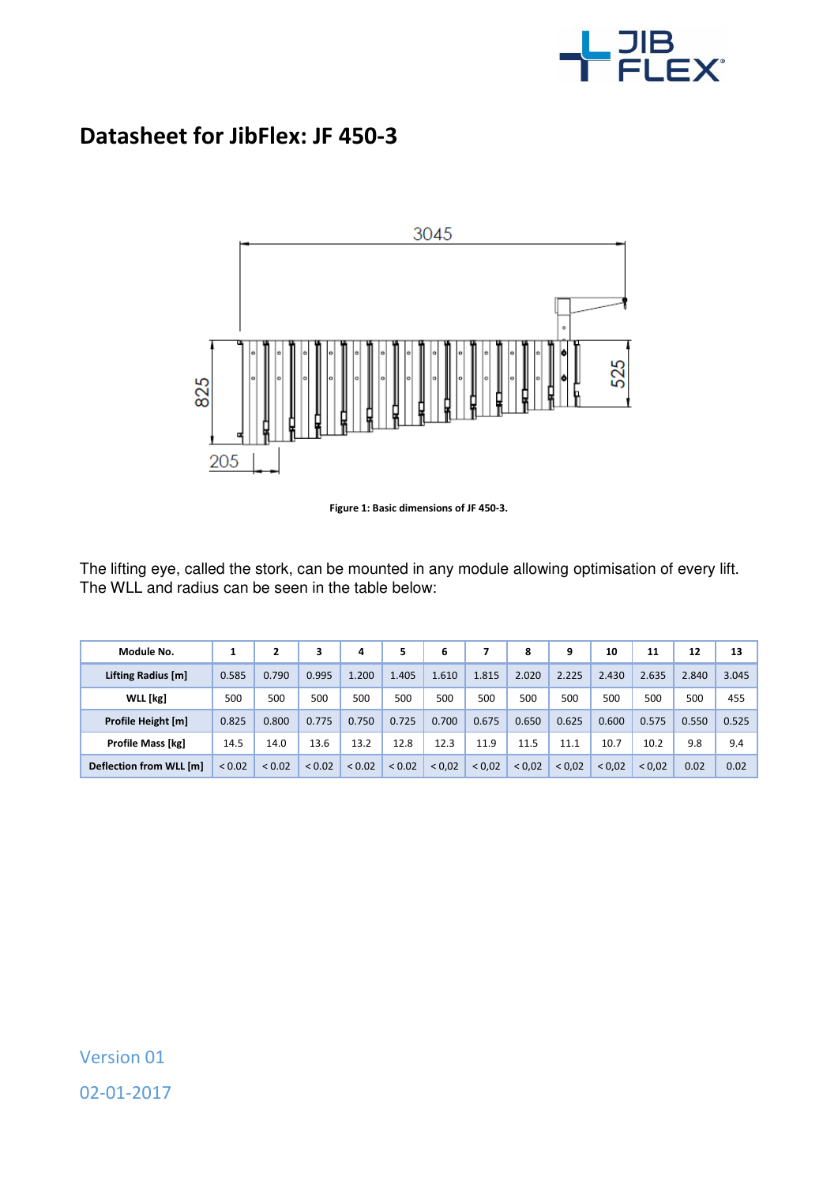

## **Datasheet for JibFlex: JF 450-3**



**Figure 1: Basic dimensions of JF 450-3.** 

The lifting eye, called the stork, can be mounted in any module allowing optimisation of every lift. The WLL and radius can be seen in the table below:

| Module No.               |             |        | 3           | 4      | 5      | 6      |        | 8      | 9      | 10     | 11    | 12    | 13    |
|--------------------------|-------------|--------|-------------|--------|--------|--------|--------|--------|--------|--------|-------|-------|-------|
| Lifting Radius [m]       | 0.585       | 0.790  | 0.995       | 1.200  | 1.405  | 1.610  | 1.815  | 2.020  | 2.225  | 2.430  | 2.635 | 2.840 | 3.045 |
| WLL [kg]                 | 500         | 500    | 500         | 500    | 500    | 500    | 500    | 500    | 500    | 500    | 500   | 500   | 455   |
| Profile Height [m]       | 0.825       | 0.800  | 0.775       | 0.750  | 0.725  | 0.700  | 0.675  | 0.650  | 0.625  | 0.600  | 0.575 | 0.550 | 0.525 |
| <b>Profile Mass [kg]</b> | 14.5        | 14.0   | 13.6        | 13.2   | 12.8   | 12.3   | 11.9   | 11.5   | 11.1   | 10.7   | 10.2  | 9.8   | 9.4   |
| Deflection from WLL [m]  | ${}_{0.02}$ | < 0.02 | ${}_{0.02}$ | < 0.02 | < 0.02 | < 0.02 | < 0.02 | < 0.02 | < 0.02 | < 0.02 | 0.02  | 0.02  | 0.02  |